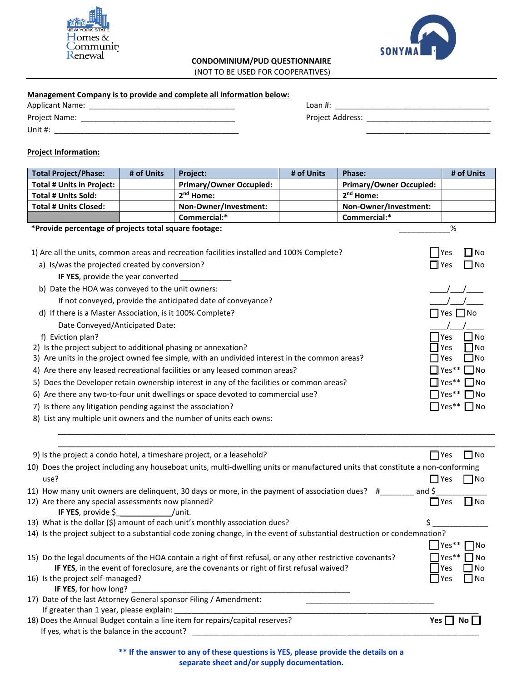



## **CONDOMINIUM/PUD QUESTIONNAIRE**

(NOT TO BE USED FOR COOPERATIVES)

## **Management Company is to provide and complete all information below:**

| <b>Applicant Name:</b> | Loan #:                 |
|------------------------|-------------------------|
| <b>Project Name:</b>   | <b>Project Address:</b> |
| Unit $#$ :             |                         |

## **Project Information:**

| <b>Total Project/Phase:</b>                                                                | # of Units | Project:                                                                                                                        | # of Units | Phase:                         | # of Units                                       |
|--------------------------------------------------------------------------------------------|------------|---------------------------------------------------------------------------------------------------------------------------------|------------|--------------------------------|--------------------------------------------------|
| <b>Total # Units in Project:</b>                                                           |            | <b>Primary/Owner Occupied:</b>                                                                                                  |            | <b>Primary/Owner Occupied:</b> |                                                  |
| <b>Total # Units Sold:</b>                                                                 |            | 2 <sup>nd</sup> Home:                                                                                                           |            | 2 <sup>nd</sup> Home:          |                                                  |
| <b>Total # Units Closed:</b>                                                               |            | Non-Owner/Investment:                                                                                                           |            | Non-Owner/Investment:          |                                                  |
|                                                                                            |            | Commercial:*                                                                                                                    |            | Commercial:*                   |                                                  |
| *Provide percentage of projects total square footage:                                      |            |                                                                                                                                 |            |                                | %                                                |
| a) Is/was the projected created by conversion?                                             |            | 1) Are all the units, common areas and recreation facilities installed and 100% Complete?                                       |            |                                | ⊿l No<br><b>IYes</b><br>$\blacksquare$ No<br>Yes |
| IF YES, provide the year converted ___________                                             |            |                                                                                                                                 |            |                                |                                                  |
| b) Date the HOA was conveyed to the unit owners:                                           |            |                                                                                                                                 |            |                                |                                                  |
|                                                                                            |            | If not conveyed, provide the anticipated date of conveyance?                                                                    |            |                                |                                                  |
| d) If there is a Master Association, is it 100% Complete?                                  |            |                                                                                                                                 |            |                                | $\sqsupset$ Yes $\Box$ No                        |
| Date Conveyed/Anticipated Date:                                                            |            |                                                                                                                                 |            |                                |                                                  |
| f) Eviction plan?                                                                          |            |                                                                                                                                 |            |                                | No<br>Yes                                        |
| 2) Is the project subject to additional phasing or annexation?                             |            |                                                                                                                                 |            |                                | No<br>Yes                                        |
|                                                                                            |            | 3) Are units in the project owned fee simple, with an undivided interest in the common areas?                                   |            |                                | ⊿No<br>Yes                                       |
|                                                                                            |            | 4) Are there any leased recreational facilities or any leased common areas?                                                     |            |                                | Yes**<br>- INo                                   |
|                                                                                            |            | 5) Does the Developer retain ownership interest in any of the facilities or common areas?                                       |            |                                | ∃No<br>Yes <sup>**</sup>                         |
|                                                                                            |            | 6) Are there any two-to-four unit dwellings or space devoted to commercial use?                                                 |            |                                | $\Box$ No<br>Yes**                               |
| 7) Is there any litigation pending against the association?                                |            |                                                                                                                                 |            |                                | $\blacksquare$ No<br>$\exists$ Yes**             |
|                                                                                            |            | 8) List any multiple unit owners and the number of units each owns:                                                             |            |                                |                                                  |
|                                                                                            |            |                                                                                                                                 |            |                                |                                                  |
|                                                                                            |            |                                                                                                                                 |            |                                |                                                  |
|                                                                                            |            | 9) Is the project a condo hotel, a timeshare project, or a leasehold?                                                           |            | $\Box$ Yes                     | $\Box$ No                                        |
|                                                                                            |            | 10) Does the project including any houseboat units, multi-dwelling units or manufactured units that constitute a non-conforming |            |                                |                                                  |
| use?                                                                                       |            |                                                                                                                                 |            |                                | $\square$ No<br>$\Box$ Yes                       |
|                                                                                            |            | 11) How many unit owners are delinquent, 30 days or more, in the payment of association dues? #________ and \$                  |            |                                |                                                  |
| 12) Are there any special assessments now planned?                                         |            |                                                                                                                                 |            |                                | ∐No<br>l IYes                                    |
| IF YES, provide \$__________________/unit.                                                 |            |                                                                                                                                 |            |                                |                                                  |
|                                                                                            |            | 13) What is the dollar (\$) amount of each unit's monthly association dues?                                                     |            |                                |                                                  |
|                                                                                            |            | 14) Is the project subject to a substantial code zoning change, in the event of substantial destruction or condemnation?        |            |                                |                                                  |
|                                                                                            |            |                                                                                                                                 |            |                                | $\blacksquare$ Yes** $\blacksquare$ No           |
|                                                                                            |            | 15) Do the legal documents of the HOA contain a right of first refusal, or any other restrictive covenants?                     |            |                                | Yes**<br>∩No                                     |
|                                                                                            |            | IF YES, in the event of foreclosure, are the covenants or right of first refusal waived?                                        |            |                                | No<br>Yes                                        |
| 16) Is the project self-managed?                                                           |            |                                                                                                                                 |            |                                | l Yes<br>  No                                    |
| IF YES, for how long?<br>17) Date of the last Attorney General sponsor Filing / Amendment: |            |                                                                                                                                 |            |                                |                                                  |
| If greater than 1 year, please explain:                                                    |            |                                                                                                                                 |            |                                |                                                  |
|                                                                                            |            | 18) Does the Annual Budget contain a line item for repairs/capital reserves?                                                    |            |                                | Yes $\Box$ No $\Box$                             |
| If yes, what is the balance in the account?                                                |            |                                                                                                                                 |            |                                |                                                  |